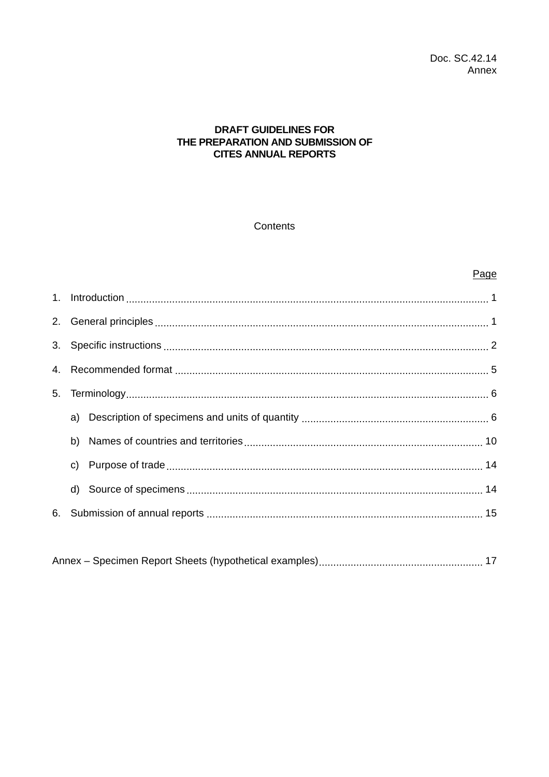### **DRAFT GUIDELINES FOR** THE PREPARATION AND SUBMISSION OF **CITES ANNUAL REPORTS**

### Contents

### Page

| 5. |              |  |  |  |  |  |  |
|----|--------------|--|--|--|--|--|--|
|    |              |  |  |  |  |  |  |
|    | b)           |  |  |  |  |  |  |
|    | $\mathsf{C}$ |  |  |  |  |  |  |
|    |              |  |  |  |  |  |  |
| 6. |              |  |  |  |  |  |  |

|--|--|--|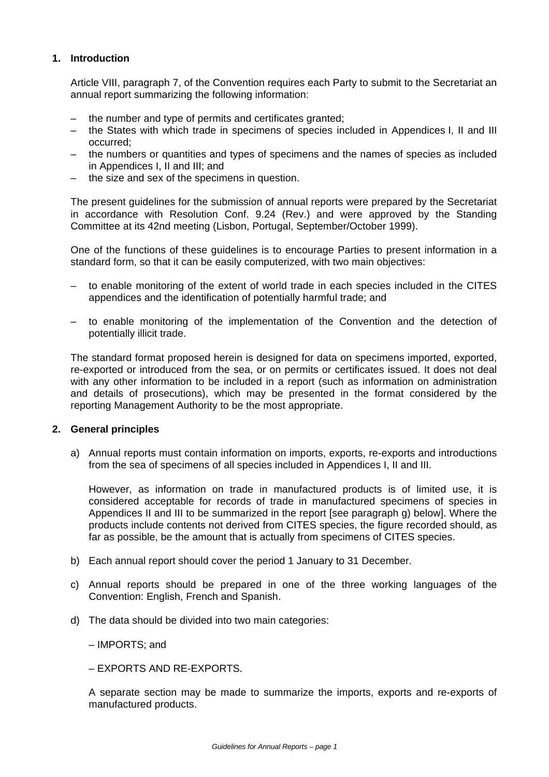### **1. Introduction**

Article VIII, paragraph 7, of the Convention requires each Party to submit to the Secretariat an annual report summarizing the following information:

- the number and type of permits and certificates granted;
- the States with which trade in specimens of species included in Appendices I, II and III occurred;
- the numbers or quantities and types of specimens and the names of species as included in Appendices I, II and III; and
- the size and sex of the specimens in question.

The present guidelines for the submission of annual reports were prepared by the Secretariat in accordance with Resolution Conf. 9.24 (Rev.) and were approved by the Standing Committee at its 42nd meeting (Lisbon, Portugal, September/October 1999).

One of the functions of these guidelines is to encourage Parties to present information in a standard form, so that it can be easily computerized, with two main objectives:

- to enable monitoring of the extent of world trade in each species included in the CITES appendices and the identification of potentially harmful trade; and
- to enable monitoring of the implementation of the Convention and the detection of potentially illicit trade.

The standard format proposed herein is designed for data on specimens imported, exported, re-exported or introduced from the sea, or on permits or certificates issued. It does not deal with any other information to be included in a report (such as information on administration and details of prosecutions), which may be presented in the format considered by the reporting Management Authority to be the most appropriate.

#### **2. General principles**

a) Annual reports must contain information on imports, exports, re-exports and introductions from the sea of specimens of all species included in Appendices I, II and III.

However, as information on trade in manufactured products is of limited use, it is considered acceptable for records of trade in manufactured specimens of species in Appendices II and III to be summarized in the report [see paragraph g) below]. Where the products include contents not derived from CITES species, the figure recorded should, as far as possible, be the amount that is actually from specimens of CITES species.

- b) Each annual report should cover the period 1 January to 31 December.
- c) Annual reports should be prepared in one of the three working languages of the Convention: English, French and Spanish.
- d) The data should be divided into two main categories:

– IMPORTS; and

– EXPORTS AND RE-EXPORTS.

A separate section may be made to summarize the imports, exports and re-exports of manufactured products.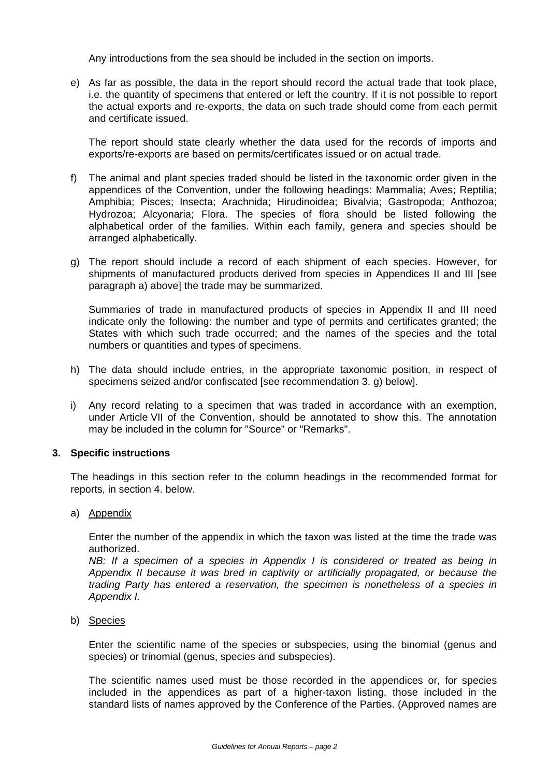Any introductions from the sea should be included in the section on imports.

e) As far as possible, the data in the report should record the actual trade that took place, i.e. the quantity of specimens that entered or left the country. If it is not possible to report the actual exports and re-exports, the data on such trade should come from each permit and certificate issued.

The report should state clearly whether the data used for the records of imports and exports/re-exports are based on permits/certificates issued or on actual trade.

- f) The animal and plant species traded should be listed in the taxonomic order given in the appendices of the Convention, under the following headings: Mammalia; Aves; Reptilia; Amphibia; Pisces; Insecta; Arachnida; Hirudinoidea; Bivalvia; Gastropoda; Anthozoa; Hydrozoa; Alcyonaria; Flora. The species of flora should be listed following the alphabetical order of the families. Within each family, genera and species should be arranged alphabetically.
- g) The report should include a record of each shipment of each species. However, for shipments of manufactured products derived from species in Appendices II and III [see paragraph a) above] the trade may be summarized.

Summaries of trade in manufactured products of species in Appendix II and III need indicate only the following: the number and type of permits and certificates granted; the States with which such trade occurred; and the names of the species and the total numbers or quantities and types of specimens.

- h) The data should include entries, in the appropriate taxonomic position, in respect of specimens seized and/or confiscated [see recommendation 3. q) below].
- i) Any record relating to a specimen that was traded in accordance with an exemption, under Article VII of the Convention, should be annotated to show this. The annotation may be included in the column for "Source" or "Remarks".

#### **3. Specific instructions**

The headings in this section refer to the column headings in the recommended format for reports, in section 4. below.

a) Appendix

Enter the number of the appendix in which the taxon was listed at the time the trade was authorized.

*NB: If a specimen of a species in Appendix I is considered or treated as being in Appendix II because it was bred in captivity or artificially propagated, or because the trading Party has entered a reservation, the specimen is nonetheless of a species in Appendix I.*

b) Species

Enter the scientific name of the species or subspecies, using the binomial (genus and species) or trinomial (genus, species and subspecies).

The scientific names used must be those recorded in the appendices or, for species included in the appendices as part of a higher-taxon listing, those included in the standard lists of names approved by the Conference of the Parties. (Approved names are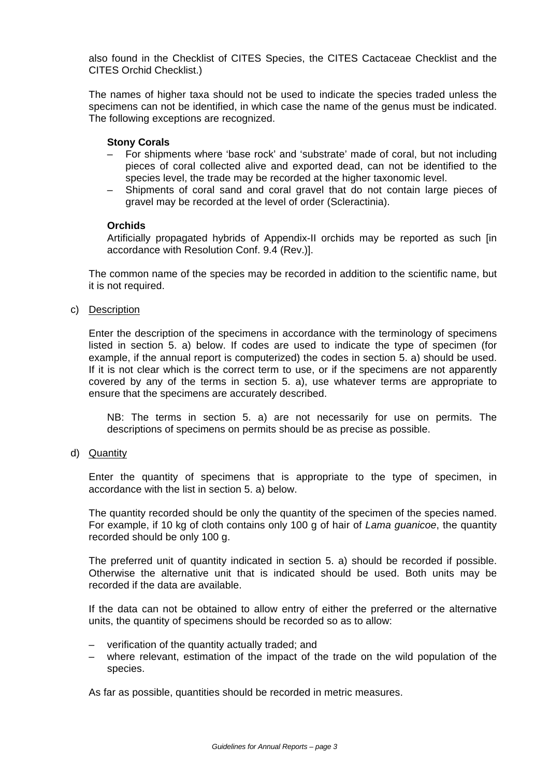also found in the Checklist of CITES Species, the CITES Cactaceae Checklist and the CITES Orchid Checklist.)

The names of higher taxa should not be used to indicate the species traded unless the specimens can not be identified, in which case the name of the genus must be indicated. The following exceptions are recognized.

#### **Stony Corals**

- For shipments where 'base rock' and 'substrate' made of coral, but not including pieces of coral collected alive and exported dead, can not be identified to the species level, the trade may be recorded at the higher taxonomic level.
- Shipments of coral sand and coral gravel that do not contain large pieces of gravel may be recorded at the level of order (Scleractinia).

### **Orchids**

Artificially propagated hybrids of Appendix-II orchids may be reported as such [in accordance with Resolution Conf. 9.4 (Rev.)].

The common name of the species may be recorded in addition to the scientific name, but it is not required.

c) Description

Enter the description of the specimens in accordance with the terminology of specimens listed in section 5. a) below. If codes are used to indicate the type of specimen (for example, if the annual report is computerized) the codes in section 5. a) should be used. If it is not clear which is the correct term to use, or if the specimens are not apparently covered by any of the terms in section 5. a), use whatever terms are appropriate to ensure that the specimens are accurately described.

NB: The terms in section 5. a) are not necessarily for use on permits. The descriptions of specimens on permits should be as precise as possible.

d) Quantity

Enter the quantity of specimens that is appropriate to the type of specimen, in accordance with the list in section 5. a) below.

The quantity recorded should be only the quantity of the specimen of the species named. For example, if 10 kg of cloth contains only 100 g of hair of *Lama guanicoe*, the quantity recorded should be only 100 g.

The preferred unit of quantity indicated in section 5. a) should be recorded if possible. Otherwise the alternative unit that is indicated should be used. Both units may be recorded if the data are available.

If the data can not be obtained to allow entry of either the preferred or the alternative units, the quantity of specimens should be recorded so as to allow:

- verification of the quantity actually traded; and
- where relevant, estimation of the impact of the trade on the wild population of the species.

As far as possible, quantities should be recorded in metric measures.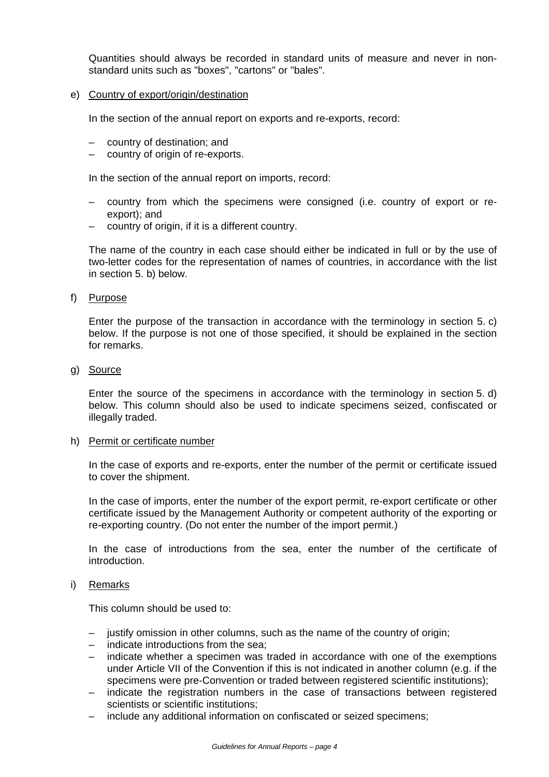Quantities should always be recorded in standard units of measure and never in nonstandard units such as "boxes", "cartons" or "bales".

e) Country of export/origin/destination

In the section of the annual report on exports and re-exports, record:

- country of destination; and
- country of origin of re-exports.

In the section of the annual report on imports, record:

- country from which the specimens were consigned (i.e. country of export or reexport); and
- country of origin, if it is a different country.

The name of the country in each case should either be indicated in full or by the use of two-letter codes for the representation of names of countries, in accordance with the list in section 5. b) below.

f) Purpose

Enter the purpose of the transaction in accordance with the terminology in section 5. c) below. If the purpose is not one of those specified, it should be explained in the section for remarks.

g) Source

Enter the source of the specimens in accordance with the terminology in section 5. d) below. This column should also be used to indicate specimens seized, confiscated or illegally traded.

h) Permit or certificate number

In the case of exports and re-exports, enter the number of the permit or certificate issued to cover the shipment.

In the case of imports, enter the number of the export permit, re-export certificate or other certificate issued by the Management Authority or competent authority of the exporting or re-exporting country. (Do not enter the number of the import permit.)

In the case of introductions from the sea, enter the number of the certificate of introduction.

#### i) Remarks

This column should be used to:

- justify omission in other columns, such as the name of the country of origin;
- indicate introductions from the sea;
- indicate whether a specimen was traded in accordance with one of the exemptions under Article VII of the Convention if this is not indicated in another column (e.g. if the specimens were pre-Convention or traded between registered scientific institutions);
- indicate the registration numbers in the case of transactions between registered scientists or scientific institutions;
- include any additional information on confiscated or seized specimens;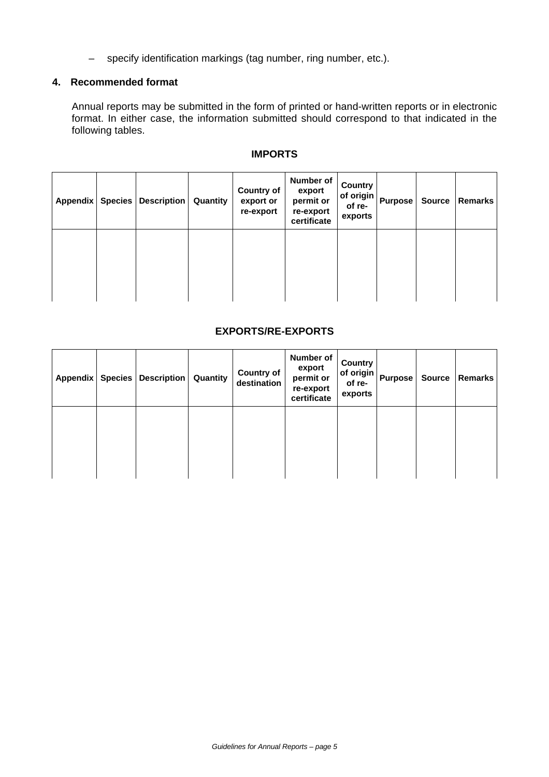– specify identification markings (tag number, ring number, etc.).

### **4. Recommended format**

Annual reports may be submitted in the form of printed or hand-written reports or in electronic format. In either case, the information submitted should correspond to that indicated in the following tables.

| Appendix   Species | Description | Quantity | <b>Country of</b><br>export or<br>re-export | Number of<br>export<br>permit or<br>re-export<br>certificate | Country<br>of origin<br>of re-<br>exports | <b>Purpose</b> | <b>Source</b> | <b>Remarks</b> |
|--------------------|-------------|----------|---------------------------------------------|--------------------------------------------------------------|-------------------------------------------|----------------|---------------|----------------|
|                    |             |          |                                             |                                                              |                                           |                |               |                |

### **IMPORTS**

### **EXPORTS/RE-EXPORTS**

| Appendix   Species | Description | Quantity | <b>Country of</b><br>destination | Number of<br>export<br>permit or<br>re-export<br>certificate | Country<br>of origin<br>of re-<br>exports | <b>Purpose</b> | Source | Remarks |
|--------------------|-------------|----------|----------------------------------|--------------------------------------------------------------|-------------------------------------------|----------------|--------|---------|
|                    |             |          |                                  |                                                              |                                           |                |        |         |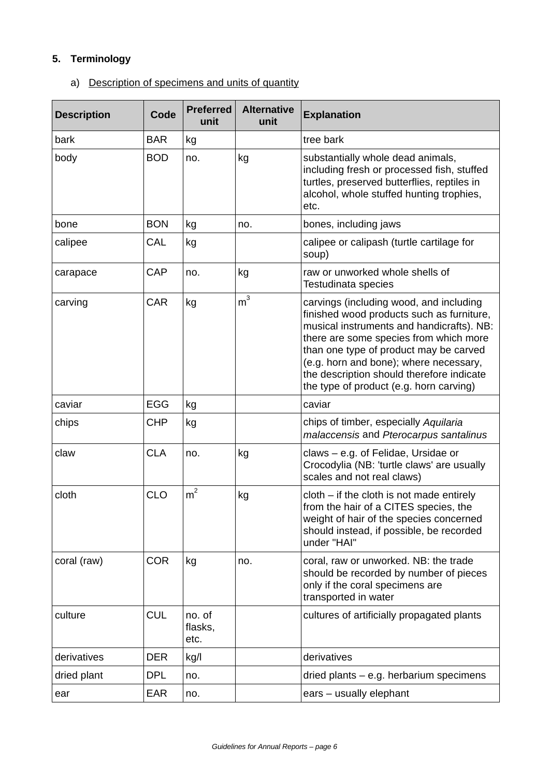# **5. Terminology**

## a) Description of specimens and units of quantity

| <b>Description</b> | Code       | <b>Preferred</b><br>unit  | <b>Alternative</b><br>unit | <b>Explanation</b>                                                                                                                                                                                                                                                                                                                                      |
|--------------------|------------|---------------------------|----------------------------|---------------------------------------------------------------------------------------------------------------------------------------------------------------------------------------------------------------------------------------------------------------------------------------------------------------------------------------------------------|
| bark               | <b>BAR</b> | kg                        |                            | tree bark                                                                                                                                                                                                                                                                                                                                               |
| body               | <b>BOD</b> | no.                       | kg                         | substantially whole dead animals,<br>including fresh or processed fish, stuffed<br>turtles, preserved butterflies, reptiles in<br>alcohol, whole stuffed hunting trophies,<br>etc.                                                                                                                                                                      |
| bone               | <b>BON</b> | kg                        | no.                        | bones, including jaws                                                                                                                                                                                                                                                                                                                                   |
| calipee            | CAL        | kg                        |                            | calipee or calipash (turtle cartilage for<br>soup)                                                                                                                                                                                                                                                                                                      |
| carapace           | <b>CAP</b> | no.                       | kg                         | raw or unworked whole shells of<br>Testudinata species                                                                                                                                                                                                                                                                                                  |
| carving            | <b>CAR</b> | kg                        | m <sup>3</sup>             | carvings (including wood, and including<br>finished wood products such as furniture,<br>musical instruments and handicrafts). NB:<br>there are some species from which more<br>than one type of product may be carved<br>(e.g. horn and bone); where necessary,<br>the description should therefore indicate<br>the type of product (e.g. horn carving) |
| caviar             | EGG        | kg                        |                            | caviar                                                                                                                                                                                                                                                                                                                                                  |
| chips              | <b>CHP</b> | kg                        |                            | chips of timber, especially Aquilaria<br>malaccensis and Pterocarpus santalinus                                                                                                                                                                                                                                                                         |
| claw               | <b>CLA</b> | no.                       | kg                         | claws - e.g. of Felidae, Ursidae or<br>Crocodylia (NB: 'turtle claws' are usually<br>scales and not real claws)                                                                                                                                                                                                                                         |
| cloth              | <b>CLO</b> | m <sup>2</sup>            | kg                         | $cloth - if the cloth is not made entirely$<br>from the hair of a CITES species, the<br>weight of hair of the species concerned<br>should instead, if possible, be recorded<br>under "HAI"                                                                                                                                                              |
| coral (raw)        | <b>COR</b> | kg                        | no.                        | coral, raw or unworked. NB: the trade<br>should be recorded by number of pieces<br>only if the coral specimens are<br>transported in water                                                                                                                                                                                                              |
| culture            | <b>CUL</b> | no. of<br>flasks,<br>etc. |                            | cultures of artificially propagated plants                                                                                                                                                                                                                                                                                                              |
| derivatives        | <b>DER</b> | kg/l                      |                            | derivatives                                                                                                                                                                                                                                                                                                                                             |
| dried plant        | <b>DPL</b> | no.                       |                            | dried plants - e.g. herbarium specimens                                                                                                                                                                                                                                                                                                                 |
| ear                | <b>EAR</b> | no.                       |                            | ears - usually elephant                                                                                                                                                                                                                                                                                                                                 |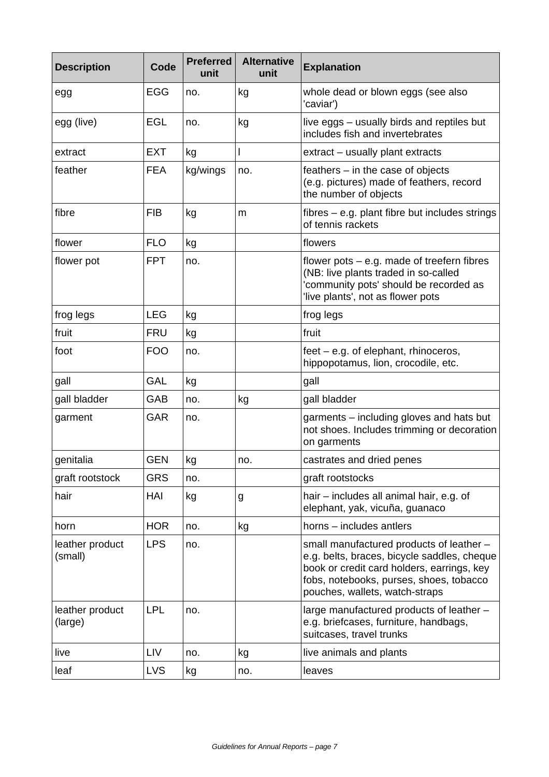| <b>Description</b>         | Code       | <b>Preferred</b><br>unit | <b>Alternative</b><br>unit | <b>Explanation</b>                                                                                                                                                                                                 |
|----------------------------|------------|--------------------------|----------------------------|--------------------------------------------------------------------------------------------------------------------------------------------------------------------------------------------------------------------|
| egg                        | <b>EGG</b> | no.                      | kg                         | whole dead or blown eggs (see also<br>'caviar')                                                                                                                                                                    |
| egg (live)                 | <b>EGL</b> | no.                      | kg                         | live eggs – usually birds and reptiles but<br>includes fish and invertebrates                                                                                                                                      |
| extract                    | <b>EXT</b> | kg                       |                            | extract - usually plant extracts                                                                                                                                                                                   |
| feather                    | <b>FEA</b> | kg/wings                 | no.                        | feathers $-$ in the case of objects<br>(e.g. pictures) made of feathers, record<br>the number of objects                                                                                                           |
| fibre                      | <b>FIB</b> | kg                       | m                          | fibres – e.g. plant fibre but includes strings<br>of tennis rackets                                                                                                                                                |
| flower                     | <b>FLO</b> | kg                       |                            | flowers                                                                                                                                                                                                            |
| flower pot                 | <b>FPT</b> | no.                      |                            | flower pots $-$ e.g. made of treefern fibres<br>(NB: live plants traded in so-called<br>'community pots' should be recorded as<br>live plants', not as flower pots                                                 |
| frog legs                  | <b>LEG</b> | kg                       |                            | frog legs                                                                                                                                                                                                          |
| fruit                      | <b>FRU</b> | kg                       |                            | fruit                                                                                                                                                                                                              |
| foot                       | <b>FOO</b> | no.                      |                            | $feet - e.g.$ of elephant, rhinoceros,<br>hippopotamus, lion, crocodile, etc.                                                                                                                                      |
| gall                       | <b>GAL</b> | kg                       |                            | gall                                                                                                                                                                                                               |
| gall bladder               | <b>GAB</b> | no.                      | kg                         | gall bladder                                                                                                                                                                                                       |
| garment                    | <b>GAR</b> | no.                      |                            | garments - including gloves and hats but<br>not shoes. Includes trimming or decoration<br>on garments                                                                                                              |
| genitalia                  | <b>GEN</b> | kg                       | no.                        | castrates and dried penes                                                                                                                                                                                          |
| graft rootstock            | <b>GRS</b> | no.                      |                            | graft rootstocks                                                                                                                                                                                                   |
| hair                       | HAI        | kg                       | g                          | hair – includes all animal hair, e.g. of<br>elephant, yak, vicuña, guanaco                                                                                                                                         |
| horn                       | <b>HOR</b> | no.                      | kg                         | horns - includes antlers                                                                                                                                                                                           |
| leather product<br>(small) | <b>LPS</b> | no.                      |                            | small manufactured products of leather -<br>e.g. belts, braces, bicycle saddles, cheque<br>book or credit card holders, earrings, key<br>fobs, notebooks, purses, shoes, tobacco<br>pouches, wallets, watch-straps |
| leather product<br>(large) | <b>LPL</b> | no.                      |                            | large manufactured products of leather -<br>e.g. briefcases, furniture, handbags,<br>suitcases, travel trunks                                                                                                      |
| live                       | LIV        | no.                      | kg                         | live animals and plants                                                                                                                                                                                            |
| leaf                       | <b>LVS</b> | kg                       | no.                        | leaves                                                                                                                                                                                                             |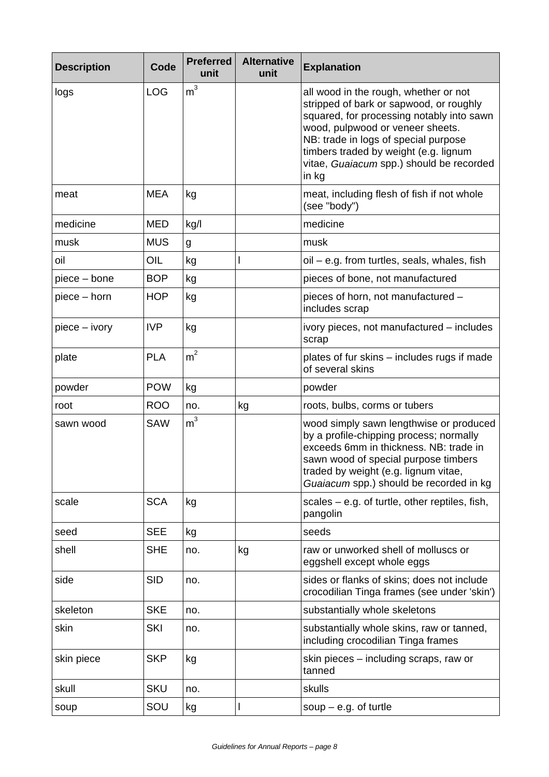| <b>Description</b> | Code       | <b>Preferred</b><br>unit | <b>Alternative</b><br>unit | <b>Explanation</b>                                                                                                                                                                                                                                                                                      |
|--------------------|------------|--------------------------|----------------------------|---------------------------------------------------------------------------------------------------------------------------------------------------------------------------------------------------------------------------------------------------------------------------------------------------------|
| logs               | <b>LOG</b> | m <sup>3</sup>           |                            | all wood in the rough, whether or not<br>stripped of bark or sapwood, or roughly<br>squared, for processing notably into sawn<br>wood, pulpwood or veneer sheets.<br>NB: trade in logs of special purpose<br>timbers traded by weight (e.g. lignum<br>vitae, Guaiacum spp.) should be recorded<br>in kg |
| meat               | <b>MEA</b> | kg                       |                            | meat, including flesh of fish if not whole<br>(see "body")                                                                                                                                                                                                                                              |
| medicine           | <b>MED</b> | kg/l                     |                            | medicine                                                                                                                                                                                                                                                                                                |
| musk               | <b>MUS</b> | g                        |                            | musk                                                                                                                                                                                                                                                                                                    |
| oil                | OIL        | kg                       |                            | oil - e.g. from turtles, seals, whales, fish                                                                                                                                                                                                                                                            |
| piece – bone       | <b>BOP</b> | kg                       |                            | pieces of bone, not manufactured                                                                                                                                                                                                                                                                        |
| piece – horn       | <b>HOP</b> | kg                       |                            | pieces of horn, not manufactured -<br>includes scrap                                                                                                                                                                                                                                                    |
| piece - ivory      | <b>IVP</b> | kg                       |                            | ivory pieces, not manufactured – includes<br>scrap                                                                                                                                                                                                                                                      |
| plate              | <b>PLA</b> | m <sup>2</sup>           |                            | plates of fur skins – includes rugs if made<br>of several skins                                                                                                                                                                                                                                         |
| powder             | <b>POW</b> | kg                       |                            | powder                                                                                                                                                                                                                                                                                                  |
| root               | <b>ROO</b> | no.                      | kg                         | roots, bulbs, corms or tubers                                                                                                                                                                                                                                                                           |
| sawn wood          | <b>SAW</b> | m <sup>3</sup>           |                            | wood simply sawn lengthwise or produced<br>by a profile-chipping process; normally<br>exceeds 6mm in thickness. NB: trade in<br>sawn wood of special purpose timbers<br>traded by weight (e.g. lignum vitae,<br>Guaiacum spp.) should be recorded in kg                                                 |
| scale              | <b>SCA</b> | kg                       |                            | scales $-$ e.g. of turtle, other reptiles, fish,<br>pangolin                                                                                                                                                                                                                                            |
| seed               | <b>SEE</b> | kg                       |                            | seeds                                                                                                                                                                                                                                                                                                   |
| shell              | <b>SHE</b> | no.                      | kg                         | raw or unworked shell of molluscs or<br>eggshell except whole eggs                                                                                                                                                                                                                                      |
| side               | <b>SID</b> | no.                      |                            | sides or flanks of skins; does not include<br>crocodilian Tinga frames (see under 'skin')                                                                                                                                                                                                               |
| skeleton           | <b>SKE</b> | no.                      |                            | substantially whole skeletons                                                                                                                                                                                                                                                                           |
| skin               | <b>SKI</b> | no.                      |                            | substantially whole skins, raw or tanned,<br>including crocodilian Tinga frames                                                                                                                                                                                                                         |
| skin piece         | <b>SKP</b> | kg                       |                            | skin pieces – including scraps, raw or<br>tanned                                                                                                                                                                                                                                                        |
| skull              | <b>SKU</b> | no.                      |                            | skulls                                                                                                                                                                                                                                                                                                  |
| soup               | SOU        | kg                       |                            | soup $-$ e.g. of turtle                                                                                                                                                                                                                                                                                 |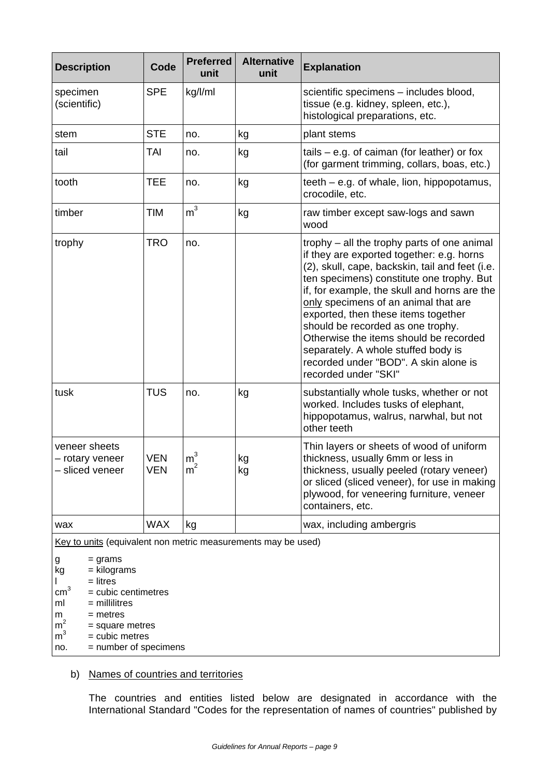| <b>Description</b>                                                                                                                                                                                                                                                                                                  | Code                     | <b>Preferred</b><br>unit         | <b>Alternative</b><br>unit | <b>Explanation</b>                                                                                                                                                                                                                                                                                                                                                                                                                                                                                             |  |
|---------------------------------------------------------------------------------------------------------------------------------------------------------------------------------------------------------------------------------------------------------------------------------------------------------------------|--------------------------|----------------------------------|----------------------------|----------------------------------------------------------------------------------------------------------------------------------------------------------------------------------------------------------------------------------------------------------------------------------------------------------------------------------------------------------------------------------------------------------------------------------------------------------------------------------------------------------------|--|
| specimen<br>(scientific)                                                                                                                                                                                                                                                                                            | <b>SPE</b>               | kg/l/ml                          |                            | scientific specimens - includes blood,<br>tissue (e.g. kidney, spleen, etc.),<br>histological preparations, etc.                                                                                                                                                                                                                                                                                                                                                                                               |  |
| stem                                                                                                                                                                                                                                                                                                                | <b>STE</b>               | no.                              | kg                         | plant stems                                                                                                                                                                                                                                                                                                                                                                                                                                                                                                    |  |
| tail                                                                                                                                                                                                                                                                                                                | <b>TAI</b>               | no.                              | kg                         | tails $-$ e.g. of caiman (for leather) or fox<br>(for garment trimming, collars, boas, etc.)                                                                                                                                                                                                                                                                                                                                                                                                                   |  |
| tooth                                                                                                                                                                                                                                                                                                               | TEE                      | no.                              | kg                         | $teeth - e.g.$ of whale, lion, hippopotamus,<br>crocodile, etc.                                                                                                                                                                                                                                                                                                                                                                                                                                                |  |
| timber                                                                                                                                                                                                                                                                                                              | <b>TIM</b>               | m <sup>3</sup>                   | kg                         | raw timber except saw-logs and sawn<br>wood                                                                                                                                                                                                                                                                                                                                                                                                                                                                    |  |
| trophy                                                                                                                                                                                                                                                                                                              | <b>TRO</b>               | no.                              |                            | trophy – all the trophy parts of one animal<br>if they are exported together: e.g. horns<br>(2), skull, cape, backskin, tail and feet (i.e.<br>ten specimens) constitute one trophy. But<br>if, for example, the skull and horns are the<br>only specimens of an animal that are<br>exported, then these items together<br>should be recorded as one trophy.<br>Otherwise the items should be recorded<br>separately. A whole stuffed body is<br>recorded under "BOD". A skin alone is<br>recorded under "SKI" |  |
| tusk                                                                                                                                                                                                                                                                                                                | <b>TUS</b>               | no.                              | kg                         | substantially whole tusks, whether or not<br>worked. Includes tusks of elephant,<br>hippopotamus, walrus, narwhal, but not<br>other teeth                                                                                                                                                                                                                                                                                                                                                                      |  |
| veneer sheets<br>- rotary veneer<br>– sliced veneer                                                                                                                                                                                                                                                                 | <b>VEN</b><br><b>VEN</b> | m <sup>3</sup><br>m <sup>2</sup> | kg<br>kg                   | Thin layers or sheets of wood of uniform<br>thickness, usually 6mm or less in<br>thickness, usually peeled (rotary veneer)<br>or sliced (sliced veneer), for use in making<br>plywood, for veneering furniture, veneer<br>containers, etc.                                                                                                                                                                                                                                                                     |  |
| wax                                                                                                                                                                                                                                                                                                                 | <b>WAX</b>               | kg                               |                            | wax, including ambergris                                                                                                                                                                                                                                                                                                                                                                                                                                                                                       |  |
| Key to units (equivalent non metric measurements may be used)<br>$=$ grams<br>g<br>kg<br>= kilograms<br>$=$ litres<br>$\text{cm}^3$<br>$=$ cubic centimetres<br>$=$ millilitres<br>ml<br>$=$ metres<br>m<br>m <sup>2</sup><br>$=$ square metres<br>m <sup>3</sup><br>= cubic metres<br>= number of specimens<br>no. |                          |                                  |                            |                                                                                                                                                                                                                                                                                                                                                                                                                                                                                                                |  |

## b) Names of countries and territories

The countries and entities listed below are designated in accordance with the International Standard "Codes for the representation of names of countries" published by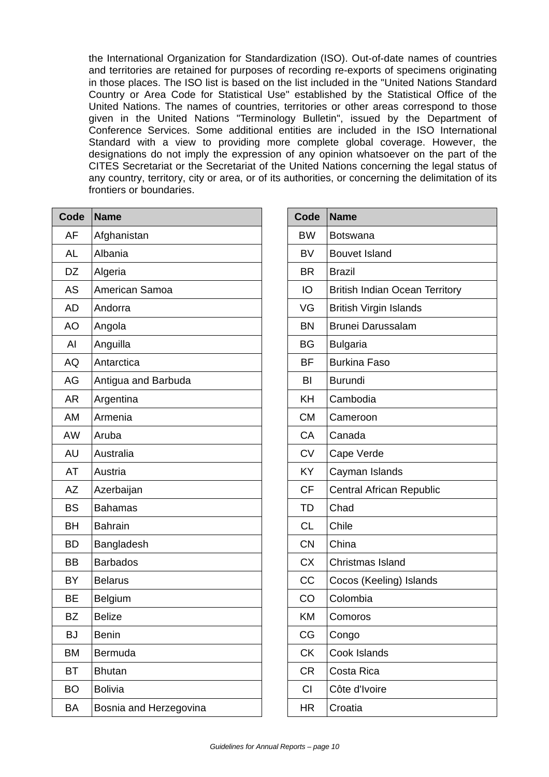the International Organization for Standardization (ISO). Out-of-date names of countries and territories are retained for purposes of recording re-exports of specimens originating in those places. The ISO list is based on the list included in the "United Nations Standard Country or Area Code for Statistical Use" established by the Statistical Office of the United Nations. The names of countries, territories or other areas correspond to those given in the United Nations "Terminology Bulletin", issued by the Department of Conference Services. Some additional entities are included in the ISO International Standard with a view to providing more complete global coverage. However, the designations do not imply the expression of any opinion whatsoever on the part of the CITES Secretariat or the Secretariat of the United Nations concerning the legal status of any country, territory, city or area, or of its authorities, or concerning the delimitation of its frontiers or boundaries.

| Code      | <b>Name</b>            |
|-----------|------------------------|
| AF        | Afghanistan            |
| <b>AL</b> | Albania                |
| DZ        | Algeria                |
| <b>AS</b> | American Samoa         |
| <b>AD</b> | Andorra                |
| <b>AO</b> | Angola                 |
| AI        | Anguilla               |
| AQ        | Antarctica             |
| AG        | Antigua and Barbuda    |
| <b>AR</b> | Argentina              |
| AM        | Armenia                |
| <b>AW</b> | Aruba                  |
| <b>AU</b> | Australia              |
| <b>AT</b> | Austria                |
| <b>AZ</b> | Azerbaijan             |
| BS        | <b>Bahamas</b>         |
| BH        | <b>Bahrain</b>         |
| <b>BD</b> | Bangladesh             |
| ВB        | <b>Barbados</b>        |
| BY        | <b>Belarus</b>         |
| BE        | Belgium                |
| <b>BZ</b> | <b>Belize</b>          |
| <b>BJ</b> | <b>Benin</b>           |
| <b>BM</b> | Bermuda                |
| BT        | <b>Bhutan</b>          |
| <b>BO</b> | <b>Bolivia</b>         |
| BA        | Bosnia and Herzegovina |

| Code      | <b>Name</b>                           |
|-----------|---------------------------------------|
| <b>BW</b> | <b>Botswana</b>                       |
| BV        | <b>Bouvet Island</b>                  |
| <b>BR</b> | <b>Brazil</b>                         |
| IO        | <b>British Indian Ocean Territory</b> |
| VG        | <b>British Virgin Islands</b>         |
| <b>BN</b> | <b>Brunei Darussalam</b>              |
| BG        | <b>Bulgaria</b>                       |
| <b>BF</b> | <b>Burkina Faso</b>                   |
| BI        | <b>Burundi</b>                        |
| KH        | Cambodia                              |
| <b>CM</b> | Cameroon                              |
| CA        | Canada                                |
| <b>CV</b> | Cape Verde                            |
| KY        | Cayman Islands                        |
| <b>CF</b> | <b>Central African Republic</b>       |
| <b>TD</b> | Chad                                  |
| <b>CL</b> | Chile                                 |
| <b>CN</b> | China                                 |
| <b>CX</b> | Christmas Island                      |
| CC        | Cocos (Keeling) Islands               |
| CO        | Colombia                              |
| ΚM        | Comoros                               |
| CG        | Congo                                 |
| CK        | Cook Islands                          |
| CR        | Costa Rica                            |
| <b>CI</b> | Côte d'Ivoire                         |
| HR        | Croatia                               |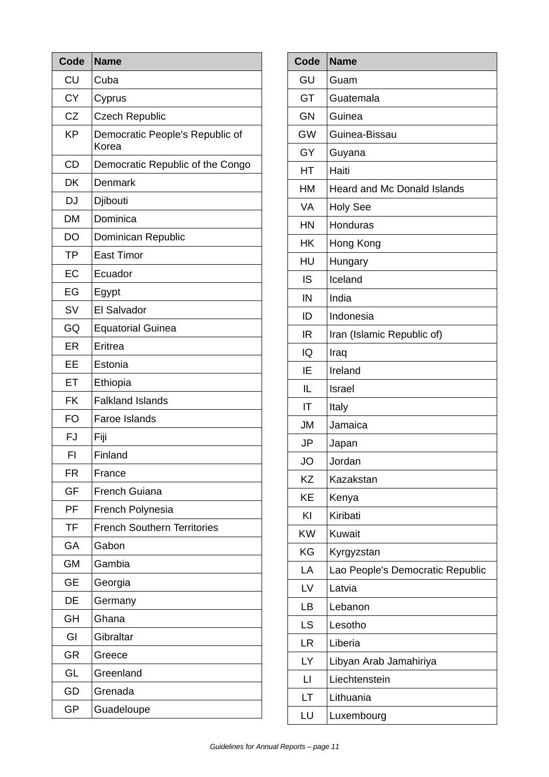| Code      | <b>Name</b>                              |
|-----------|------------------------------------------|
| CU        | Cuba                                     |
| <b>CY</b> | Cyprus                                   |
| CZ        | <b>Czech Republic</b>                    |
| <b>KP</b> | Democratic People's Republic of<br>Korea |
| <b>CD</b> | Democratic Republic of the Congo         |
| DK        | Denmark                                  |
| <b>DJ</b> | Djibouti                                 |
| <b>DM</b> | Dominica                                 |
| DO        | Dominican Republic                       |
| <b>TP</b> | <b>East Timor</b>                        |
| EC        | Ecuador                                  |
| EG        | Egypt                                    |
| <b>SV</b> | El Salvador                              |
| GQ        | <b>Equatorial Guinea</b>                 |
| <b>ER</b> | Eritrea                                  |
| EE        | Estonia                                  |
| ET        | Ethiopia                                 |
| <b>FK</b> | <b>Falkland Islands</b>                  |
| FO        | Faroe Islands                            |
| <b>FJ</b> | Fiji                                     |
| FI        | Finland                                  |
| <b>FR</b> | France                                   |
| GF        | <b>French Guiana</b>                     |
| PF        | French Polynesia                         |
| <b>TF</b> | <b>French Southern Territories</b>       |
| GA        | Gabon                                    |
| <b>GM</b> | Gambia                                   |
| <b>GE</b> | Georgia                                  |
| DE        | Germany                                  |
| <b>GH</b> | Ghana                                    |
| GI        | Gibraltar                                |
| <b>GR</b> | Greece                                   |
| GL        | Greenland                                |
| GD        | Grenada                                  |
| <b>GP</b> | Guadeloupe                               |

| <b>Code</b>  | <b>Name</b>                        |
|--------------|------------------------------------|
| GU           | Guam                               |
| GT           | Guatemala                          |
| <b>GN</b>    | Guinea                             |
| <b>GW</b>    | Guinea-Bissau                      |
| GY           | Guyana                             |
| НT           | Haiti                              |
| HM           | <b>Heard and Mc Donald Islands</b> |
| <b>VA</b>    | <b>Holy See</b>                    |
| HN           | Honduras                           |
| HK           | Hong Kong                          |
| HU           | Hungary                            |
| <b>IS</b>    | Iceland                            |
| IN           | India                              |
| ID           | Indonesia                          |
| <b>IR</b>    | Iran (Islamic Republic of)         |
| IQ           | Iraq                               |
| ΙE           | Ireland                            |
| IL           | Israel                             |
| ΙT           | Italy                              |
| <b>JM</b>    | Jamaica                            |
| <b>JP</b>    | Japan                              |
| <b>JO</b>    | Jordan                             |
| KZ           | Kazakstan                          |
| ΚE           | Kenya                              |
| KI           | Kiribati                           |
| <b>KW</b>    | <b>Kuwait</b>                      |
| KG           | Kyrgyzstan                         |
| LA           | Lao People's Democratic Republic   |
| LV           | Latvia                             |
| LB           | Lebanon                            |
| LS           | Lesotho                            |
| <b>LR</b>    | Liberia                            |
| LY           | Libyan Arab Jamahiriya             |
| $\mathsf{L}$ | Liechtenstein                      |
| LТ           | Lithuania                          |
| LU           | Luxembourg                         |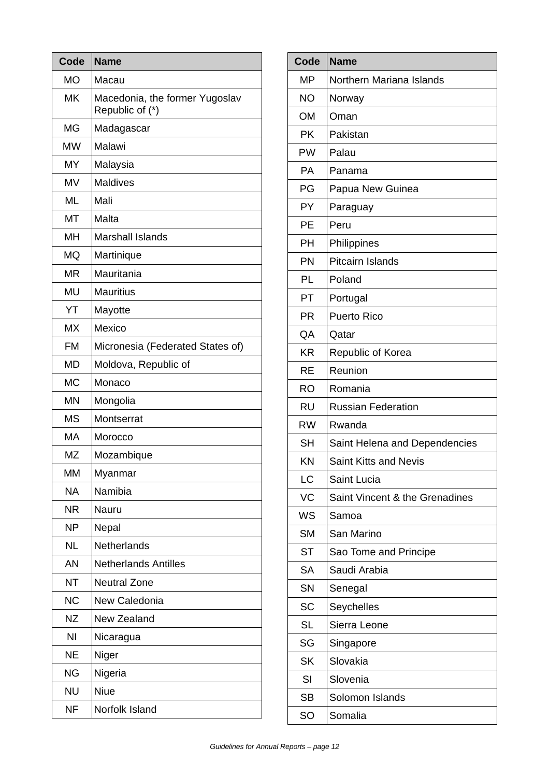| Code      | <b>Name</b>                                       |
|-----------|---------------------------------------------------|
| <b>MO</b> | Macau                                             |
| <b>MK</b> | Macedonia, the former Yugoslav<br>Republic of (*) |
| <b>MG</b> | Madagascar                                        |
| <b>MW</b> | Malawi                                            |
| <b>MY</b> | Malaysia                                          |
| <b>MV</b> | <b>Maldives</b>                                   |
| <b>ML</b> | Mali                                              |
| MT        | Malta                                             |
| MН        | <b>Marshall Islands</b>                           |
| <b>MQ</b> | Martinique                                        |
| <b>MR</b> | Mauritania                                        |
| <b>MU</b> | <b>Mauritius</b>                                  |
| YT        | Mayotte                                           |
| <b>MX</b> | Mexico                                            |
| <b>FM</b> | Micronesia (Federated States of)                  |
| <b>MD</b> | Moldova, Republic of                              |
| <b>MC</b> | Monaco                                            |
| <b>MN</b> | Mongolia                                          |
| <b>MS</b> | Montserrat                                        |
| <b>MA</b> | Morocco                                           |
| <b>MZ</b> | Mozambique                                        |
| <b>MM</b> | Myanmar                                           |
| <b>NA</b> | Namibia                                           |
| <b>NR</b> | Nauru                                             |
| <b>NP</b> | Nepal                                             |
| <b>NL</b> | Netherlands                                       |
| AN        | <b>Netherlands Antilles</b>                       |
| <b>NT</b> | <b>Neutral Zone</b>                               |
| <b>NC</b> | New Caledonia                                     |
| <b>NZ</b> | <b>New Zealand</b>                                |
| NI        | Nicaragua                                         |
| NE        | Niger                                             |
| <b>NG</b> | Nigeria                                           |
| <b>NU</b> | <b>Niue</b>                                       |
| <b>NF</b> | Norfolk Island                                    |

| <b>Code</b> | <b>Name</b>                    |
|-------------|--------------------------------|
| <b>MP</b>   | Northern Mariana Islands       |
| <b>NO</b>   | Norway                         |
| <b>OM</b>   | Oman                           |
| <b>PK</b>   | Pakistan                       |
| PW          | Palau                          |
| <b>PA</b>   | Panama                         |
| PG          | Papua New Guinea               |
| PY          | Paraguay                       |
| PE          | Peru                           |
| PH          | Philippines                    |
| PN          | Pitcairn Islands               |
| PL          | Poland                         |
| PT          | Portugal                       |
| <b>PR</b>   | <b>Puerto Rico</b>             |
| QA          | Qatar                          |
| <b>KR</b>   | Republic of Korea              |
| <b>RE</b>   | Reunion                        |
| <b>RO</b>   | Romania                        |
| <b>RU</b>   | <b>Russian Federation</b>      |
| <b>RW</b>   | Rwanda                         |
| <b>SH</b>   | Saint Helena and Dependencies  |
| KN          | Saint Kitts and Nevis          |
| <b>LC</b>   | Saint Lucia                    |
| <b>VC</b>   | Saint Vincent & the Grenadines |
| <b>WS</b>   | Samoa                          |
| <b>SM</b>   | San Marino                     |
| <b>ST</b>   | Sao Tome and Principe          |
| <b>SA</b>   | Saudi Arabia                   |
| SN          | Senegal                        |
| <b>SC</b>   | Seychelles                     |
| <b>SL</b>   | Sierra Leone                   |
| SG          | Singapore                      |
| <b>SK</b>   | Slovakia                       |
| SI          | Slovenia                       |
| <b>SB</b>   | Solomon Islands                |
| SO          | Somalia                        |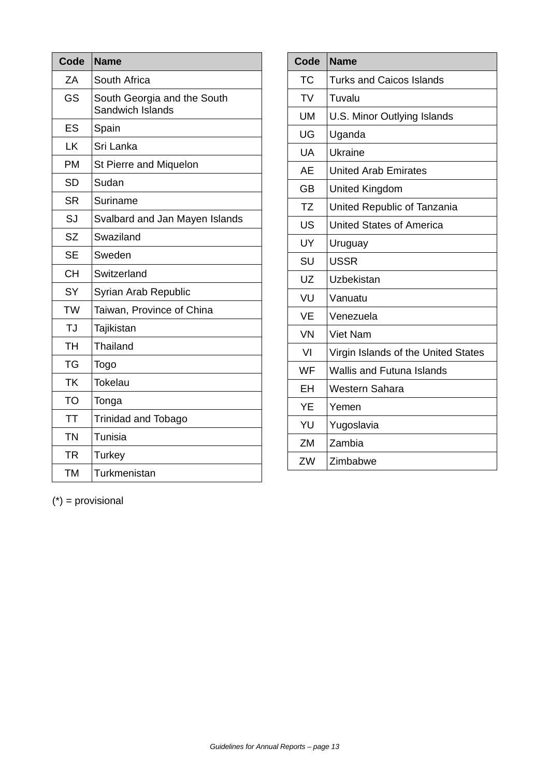| Code      | <b>Name</b>                                     |
|-----------|-------------------------------------------------|
| ZA        | South Africa                                    |
| GS        | South Georgia and the South<br>Sandwich Islands |
| ES        | Spain                                           |
| LK        | Sri Lanka                                       |
| <b>PM</b> | St Pierre and Miquelon                          |
| <b>SD</b> | Sudan                                           |
| <b>SR</b> | Suriname                                        |
| SJ        | Svalbard and Jan Mayen Islands                  |
| <b>SZ</b> | Swaziland                                       |
| <b>SE</b> | Sweden                                          |
| <b>CH</b> | Switzerland                                     |
| <b>SY</b> | Syrian Arab Republic                            |
| TW        | Taiwan, Province of China                       |
| TJ        | Tajikistan                                      |
| <b>TH</b> | Thailand                                        |
| <b>TG</b> | Togo                                            |
| <b>TK</b> | Tokelau                                         |
| TO        | Tonga                                           |
| <b>TT</b> | <b>Trinidad and Tobago</b>                      |
| <b>TN</b> | Tunisia                                         |
| <b>TR</b> | Turkey                                          |
| <b>TM</b> | Turkmenistan                                    |

| Code      | <b>Name</b>                         |
|-----------|-------------------------------------|
| <b>TC</b> | <b>Turks and Caicos Islands</b>     |
| <b>TV</b> | Tuvalu                              |
| <b>UM</b> | U.S. Minor Outlying Islands         |
| UG        | Uganda                              |
| <b>UA</b> | Ukraine                             |
| <b>AE</b> | <b>United Arab Emirates</b>         |
| <b>GB</b> | <b>United Kingdom</b>               |
| <b>TZ</b> | United Republic of Tanzania         |
| <b>US</b> | <b>United States of America</b>     |
| UY        | Uruguay                             |
| SU        | <b>USSR</b>                         |
| UZ        | Uzbekistan                          |
| VU        | Vanuatu                             |
| <b>VE</b> | Venezuela                           |
| <b>VN</b> | <b>Viet Nam</b>                     |
| VI        | Virgin Islands of the United States |
| <b>WF</b> | <b>Wallis and Futuna Islands</b>    |
| EH        | Western Sahara                      |
| YE        | Yemen                               |
| YU        | Yugoslavia                          |
| ZM        | Zambia                              |
| ZW        | Zimbabwe                            |

(\*) = provisional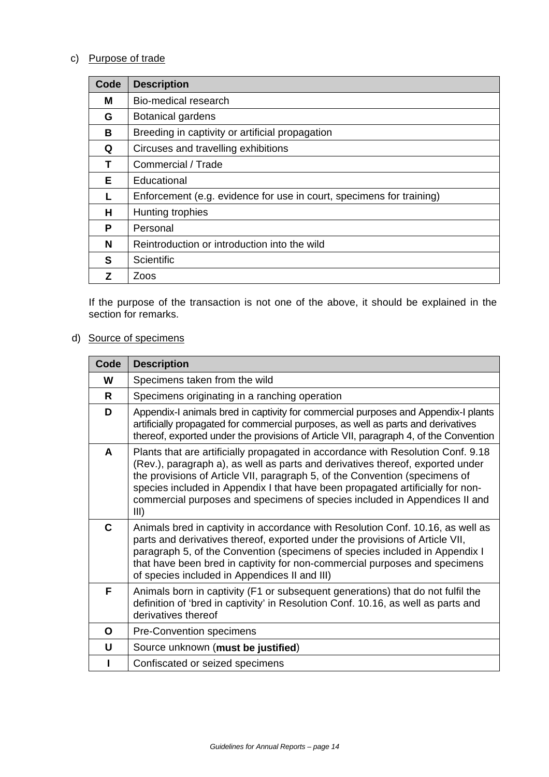## c) Purpose of trade

| Code | <b>Description</b>                                                   |
|------|----------------------------------------------------------------------|
| м    | Bio-medical research                                                 |
| G    | <b>Botanical gardens</b>                                             |
| В    | Breeding in captivity or artificial propagation                      |
| Q    | Circuses and travelling exhibitions                                  |
| т    | Commercial / Trade                                                   |
| Е    | Educational                                                          |
|      | Enforcement (e.g. evidence for use in court, specimens for training) |
| н    | Hunting trophies                                                     |
| P    | Personal                                                             |
| N    | Reintroduction or introduction into the wild                         |
| S    | <b>Scientific</b>                                                    |
|      | Zoos                                                                 |

If the purpose of the transaction is not one of the above, it should be explained in the section for remarks.

## d) Source of specimens

| Code | <b>Description</b>                                                                                                                                                                                                                                                                                                                                                                                                        |
|------|---------------------------------------------------------------------------------------------------------------------------------------------------------------------------------------------------------------------------------------------------------------------------------------------------------------------------------------------------------------------------------------------------------------------------|
| W    | Specimens taken from the wild                                                                                                                                                                                                                                                                                                                                                                                             |
| R    | Specimens originating in a ranching operation                                                                                                                                                                                                                                                                                                                                                                             |
| D    | Appendix-I animals bred in captivity for commercial purposes and Appendix-I plants<br>artificially propagated for commercial purposes, as well as parts and derivatives<br>thereof, exported under the provisions of Article VII, paragraph 4, of the Convention                                                                                                                                                          |
| A    | Plants that are artificially propagated in accordance with Resolution Conf. 9.18<br>(Rev.), paragraph a), as well as parts and derivatives thereof, exported under<br>the provisions of Article VII, paragraph 5, of the Convention (specimens of<br>species included in Appendix I that have been propagated artificially for non-<br>commercial purposes and specimens of species included in Appendices II and<br>III) |
| C    | Animals bred in captivity in accordance with Resolution Conf. 10.16, as well as<br>parts and derivatives thereof, exported under the provisions of Article VII,<br>paragraph 5, of the Convention (specimens of species included in Appendix I<br>that have been bred in captivity for non-commercial purposes and specimens<br>of species included in Appendices II and III)                                             |
| F    | Animals born in captivity (F1 or subsequent generations) that do not fulfil the<br>definition of 'bred in captivity' in Resolution Conf. 10.16, as well as parts and<br>derivatives thereof                                                                                                                                                                                                                               |
| O    | Pre-Convention specimens                                                                                                                                                                                                                                                                                                                                                                                                  |
| U    | Source unknown (must be justified)                                                                                                                                                                                                                                                                                                                                                                                        |
|      | Confiscated or seized specimens                                                                                                                                                                                                                                                                                                                                                                                           |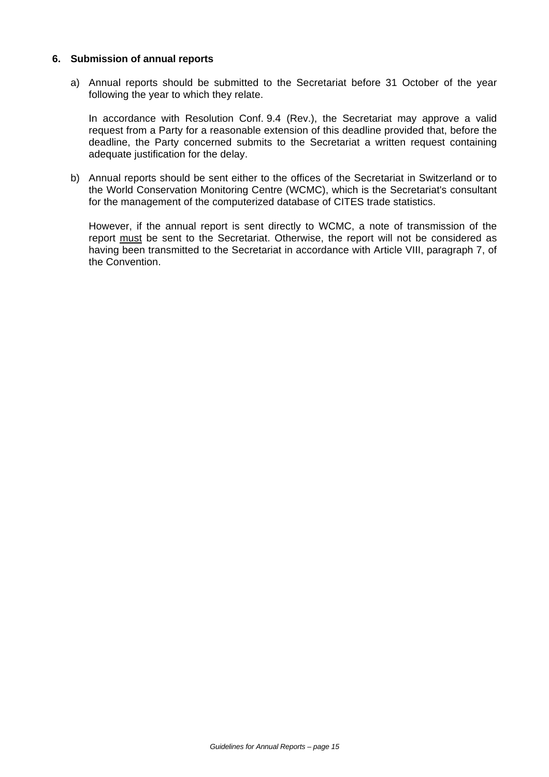### **6. Submission of annual reports**

a) Annual reports should be submitted to the Secretariat before 31 October of the year following the year to which they relate.

In accordance with Resolution Conf. 9.4 (Rev.), the Secretariat may approve a valid request from a Party for a reasonable extension of this deadline provided that, before the deadline, the Party concerned submits to the Secretariat a written request containing adequate justification for the delay.

b) Annual reports should be sent either to the offices of the Secretariat in Switzerland or to the World Conservation Monitoring Centre (WCMC), which is the Secretariat's consultant for the management of the computerized database of CITES trade statistics.

However, if the annual report is sent directly to WCMC, a note of transmission of the report must be sent to the Secretariat. Otherwise, the report will not be considered as having been transmitted to the Secretariat in accordance with Article VIII, paragraph 7, of the Convention.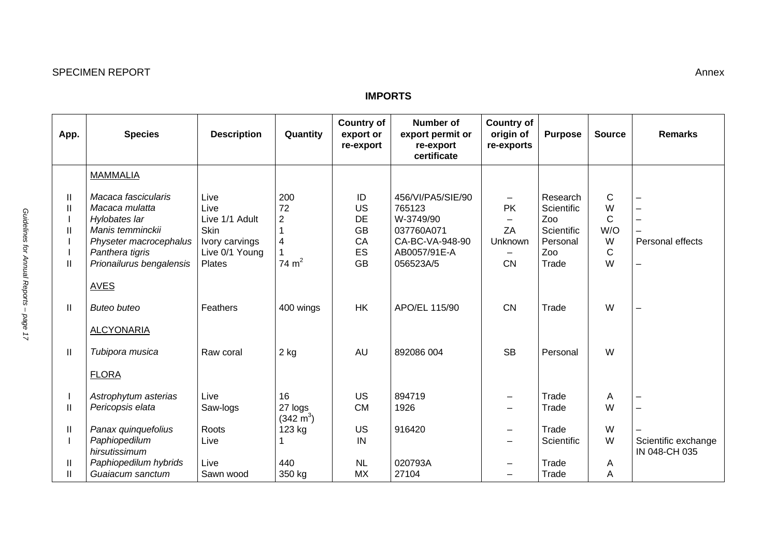| <b>SPECIMEN REPORT</b> | Annex |
|------------------------|-------|
|------------------------|-------|

### **IMPORTS**

| App.                                              | <b>Species</b>                                                                                                                                      | <b>Description</b>                                                                          | Quantity                                                 | <b>Country of</b><br>export or<br>re-export          | <b>Number of</b><br>export permit or<br>re-export<br>certificate                                       | <b>Country of</b><br>origin of<br>re-exports | <b>Purpose</b>                                                          | <b>Source</b>                                          | <b>Remarks</b>                               |
|---------------------------------------------------|-----------------------------------------------------------------------------------------------------------------------------------------------------|---------------------------------------------------------------------------------------------|----------------------------------------------------------|------------------------------------------------------|--------------------------------------------------------------------------------------------------------|----------------------------------------------|-------------------------------------------------------------------------|--------------------------------------------------------|----------------------------------------------|
|                                                   | <b>MAMMALIA</b>                                                                                                                                     |                                                                                             |                                                          |                                                      |                                                                                                        |                                              |                                                                         |                                                        |                                              |
| Ш<br>$\mathbf{I}$<br>$\mathbf{I}$<br>$\mathbf{I}$ | Macaca fascicularis<br>Macaca mulatta<br>Hylobates lar<br>Manis temminckii<br>Physeter macrocephalus<br>Panthera tigris<br>Prionailurus bengalensis | Live<br>Live<br>Live 1/1 Adult<br>Skin<br>Ivory carvings<br>Live 0/1 Young<br><b>Plates</b> | 200<br>72<br>$\overline{2}$<br>$\overline{4}$<br>74 $m2$ | ID<br>US<br>DE<br><b>GB</b><br>CA<br>ES<br><b>GB</b> | 456/VI/PA5/SIE/90<br>765123<br>W-3749/90<br>037760A071<br>CA-BC-VA-948-90<br>AB0057/91E-A<br>056523A/5 | -<br><b>PK</b><br>ZA<br>Unknown<br><b>CN</b> | Research<br>Scientific<br>Zoo<br>Scientific<br>Personal<br>Zoo<br>Trade | C<br>W<br>$\mathsf{C}$<br>W/O<br>W<br>$\mathsf C$<br>W | Personal effects<br>$\overline{\phantom{0}}$ |
|                                                   | <b>AVES</b>                                                                                                                                         |                                                                                             |                                                          |                                                      |                                                                                                        |                                              |                                                                         |                                                        |                                              |
| $\mathbf{H}$                                      | <b>Buteo buteo</b><br><b>ALCYONARIA</b>                                                                                                             | Feathers                                                                                    | 400 wings                                                | <b>HK</b>                                            | APO/EL 115/90                                                                                          | <b>CN</b>                                    | Trade                                                                   | W                                                      |                                              |
| $\mathbf{H}$                                      | Tubipora musica<br><b>FLORA</b>                                                                                                                     | Raw coral                                                                                   | $2$ kg                                                   | <b>AU</b>                                            | 892086 004                                                                                             | <b>SB</b>                                    | Personal                                                                | W                                                      |                                              |
| $\mathbf{I}$                                      | Astrophytum asterias<br>Pericopsis elata                                                                                                            | Live<br>Saw-logs                                                                            | 16<br>27 logs<br>$(342 \text{ m}^3)$                     | <b>US</b><br><b>CM</b>                               | 894719<br>1926                                                                                         |                                              | Trade<br>Trade                                                          | Α<br>W                                                 | —                                            |
| $\mathbf{II}$                                     | Panax quinquefolius<br>Paphiopedilum<br>hirsutissimum                                                                                               | Roots<br>Live                                                                               | 123 kg                                                   | <b>US</b><br>IN                                      | 916420                                                                                                 | —                                            | Trade<br>Scientific                                                     | W<br>W                                                 | Scientific exchange<br>IN 048-CH 035         |
| Ш<br>$\mathbf{I}$                                 | Paphiopedilum hybrids<br>Guaiacum sanctum                                                                                                           | Live<br>Sawn wood                                                                           | 440<br>350 kg                                            | <b>NL</b><br><b>MX</b>                               | 020793A<br>27104                                                                                       |                                              | Trade<br>Trade                                                          | Α<br>A                                                 |                                              |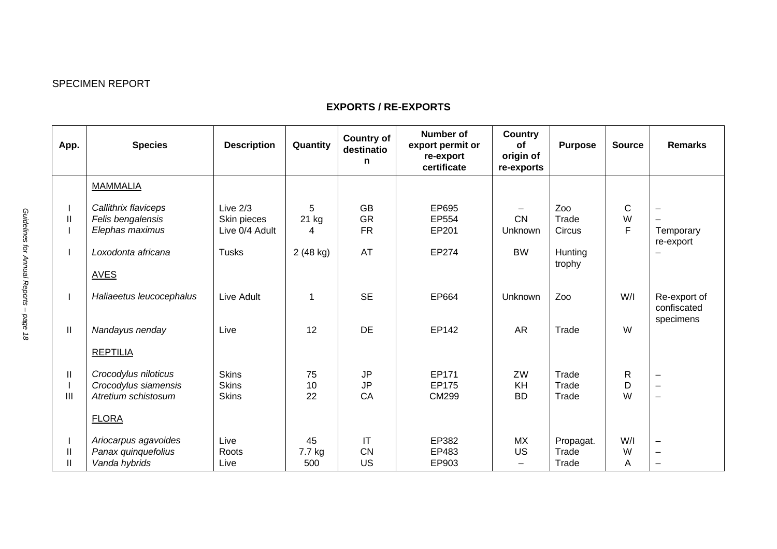## SPECIMEN REPORT

## **EXPORTS / RE-EXPORTS**

| App.                         | <b>Species</b>                                                                                    | <b>Description</b>                                          | Quantity                      | <b>Country of</b><br>destinatio<br>n             | <b>Number of</b><br>export permit or<br>re-export<br>certificate | <b>Country</b><br>οf<br>origin of<br>re-exports | <b>Purpose</b>                              | <b>Source</b>          | <b>Remarks</b>                                                                   |
|------------------------------|---------------------------------------------------------------------------------------------------|-------------------------------------------------------------|-------------------------------|--------------------------------------------------|------------------------------------------------------------------|-------------------------------------------------|---------------------------------------------|------------------------|----------------------------------------------------------------------------------|
|                              | <b>MAMMALIA</b>                                                                                   |                                                             |                               |                                                  |                                                                  |                                                 |                                             |                        |                                                                                  |
| $\mathbf{I}$                 | Callithrix flaviceps<br>Felis bengalensis<br>Elephas maximus<br>Loxodonta africana<br><b>AVES</b> | Live $2/3$<br>Skin pieces<br>Live 0/4 Adult<br><b>Tusks</b> | 5<br>$21$ kg<br>4<br>2(48 kg) | <b>GB</b><br><b>GR</b><br><b>FR</b><br><b>AT</b> | EP695<br>EP554<br>EP201<br>EP274                                 | <b>CN</b><br>Unknown<br><b>BW</b>               | Zoo<br>Trade<br>Circus<br>Hunting<br>trophy | $\mathsf{C}$<br>W<br>F | $\overline{\phantom{0}}$<br>$\overline{\phantom{0}}$<br>Temporary<br>re-export   |
|                              | Haliaeetus leucocephalus                                                                          | Live Adult                                                  | 1                             | <b>SE</b>                                        | EP664                                                            | Unknown                                         | Zoo                                         | W/I                    | Re-export of<br>confiscated<br>specimens                                         |
| $\mathbf{II}$                | Nandayus nenday<br><b>REPTILIA</b>                                                                | Live                                                        | 12                            | <b>DE</b>                                        | EP142                                                            | <b>AR</b>                                       | Trade                                       | W                      |                                                                                  |
| Ш<br>Ш                       | Crocodylus niloticus<br>Crocodylus siamensis<br>Atretium schistosum<br><b>FLORA</b>               | <b>Skins</b><br><b>Skins</b><br><b>Skins</b>                | 75<br>10<br>22                | <b>JP</b><br><b>JP</b><br>CA                     | EP171<br>EP175<br><b>CM299</b>                                   | ZW<br>KH<br><b>BD</b>                           | Trade<br>Trade<br>Trade                     | $\mathsf{R}$<br>D<br>W | $\overline{\phantom{0}}$<br>$\overline{\phantom{0}}$<br>$\overline{\phantom{0}}$ |
| $\mathbf{I}$<br>$\mathbf{H}$ | Ariocarpus agavoides<br>Panax quinquefolius<br>Vanda hybrids                                      | Live<br>Roots<br>Live                                       | 45<br>7.7 kg<br>500           | IT<br><b>CN</b><br>US                            | EP382<br>EP483<br>EP903                                          | <b>MX</b><br><b>US</b>                          | Propagat.<br>Trade<br>Trade                 | W/I<br>W<br>Α          | $\qquad \qquad -$<br>$\overline{\phantom{0}}$<br>$\overline{\phantom{0}}$        |